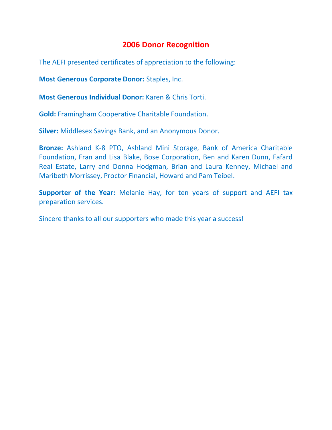## **2006 Donor Recognition**

The AEFI presented certificates of appreciation to the following:

**Most Generous Corporate Donor:** Staples, Inc.

**Most Generous Individual Donor:** Karen & Chris Torti.

**Gold:** Framingham Cooperative Charitable Foundation.

**Silver:** Middlesex Savings Bank, and an Anonymous Donor.

**Bronze:** Ashland K-8 PTO, Ashland Mini Storage, Bank of America Charitable Foundation, Fran and Lisa Blake, Bose Corporation, Ben and Karen Dunn, Fafard Real Estate, Larry and Donna Hodgman, Brian and Laura Kenney, Michael and Maribeth Morrissey, Proctor Financial, Howard and Pam Teibel.

**Supporter of the Year:** Melanie Hay, for ten years of support and AEFI tax preparation services.

Sincere thanks to all our supporters who made this year a success!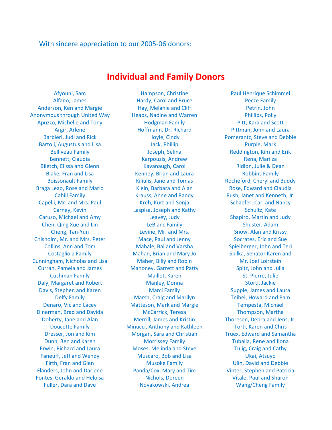## With sincere appreciation to our 2005-06 donors:

## **Individual and Family Donors**

Anonymous through United Way **Heaps, Nadine and Warren** Phillips, Polly Braga Leao, Rose and Mario **Klein, Barbara and Alan** Rose, Edward and Claudia Chisholm, Mr. and Mrs. Peter Mace, Paul and Jenny Socrates, Eric and Sue Cunningham, Nicholas and Lisa Curran, Pamela and James Fontes, Geraldo and Heloisa Nichols, Doreen Vitale, Paul and Sharon

Afyouni, Sam Hampson, Christine Paul Henrique Schimmel Alfano, James Hardy, Carol and Bruce Pecze Family Anderson, Ken and Margie **Hay, Melanie and Cliff** Petrin, John Apuzzo, Michelle and Tony **Hodgman Family** Pitt, Kara and Scott Argir, Arlene **Hoffmann, Dr. Richard Pittman, John and Laura** Pittman, John and Laura Barbieri, Judi and Rick **Hoyle, Cindy Pomerantz**, Steve and Debbie Bartoli, Augustus and Lisa Christian Mark, Phillip Christian Purple, Mark Purple, Mark Belliveau Family **State Communist Constructs** Joseph, Selina **Reddington, Kim and Erik** Reddington, Kim and Erik Bennett, Claudia **Karpouzis, Andrew Rena, Marilza** Karpouzis, Andrew Rena, Marilza Biletch, Elissa and Glenn Kavanaugh, Carol Carol Ridlon, Julie & Dean Blake, Fran and Lisa **Kenney, Brian and Laura** Robbins Family Boissonault Family **Kiliulis, Jane and Tomas** Rocheford, Cheryl and Buddy Cahill Family **Krauss, Anne and Randy Rush, Janet and Kenneth, Jr.** Anne Jr. Anne and Kenneth, Jr. Anne and Kenneth, Jr. Anne and Kenneth, Jr. Anne and Kenneth, Jr. Anne and Kenneth, Jr. Anne and Kenneth, Jr. Anne and Kenn Capelli, Mr. and Mrs. Paul Kreh, Kurt and Sonja Schaefer, Carl and Nancy Carney, Kevin **Education** Laspisa, Joseph and Kathy **Schultz**, Kate Caruso, Michael and Amy Leavey, Judy Shapiro, Martin and Judy Chen, Qing Xue and Lin LeBlanc Family Shuster, Adam Cheng, Tan-Yun Levine, Mr. and Mrs. Snow, Alan and Krissy Collins, Ann and Tom Mahale, Bal and Varsha Spielberger, John and Teri Costagliola Family **Mahan, Brian and Mary Jo** Spilka, Senator Karen and Maher, Billy and Robin Mahoney, Garrett and Patty Cushman Family **Maillet, Karen** St. Pierre, Julie Daly, Margaret and Robert **Manley, Donna** Storti, Jackie Davis, Stephen and Karen Marci Family Marci Family Supple, James and Laura Delfy Family **Marsh, Craig and Marilyn** Teibel, Howard and Pam Denaro, Vic and Lacey Matteson, Mark and Margie Tempesta, Michael Dinerman, Brad and Davida McCarrick, Teresa Thompson, Martha Doherty, Jane and Alan Merrill, James and Kristin Thoresen, Debra and Jens, Jr. Doucette Family Minucci, Anthony and Kathleen Torti, Karen and Chris Dresser, Jon and Kim **Morgan, Sara and Christian** Truex, Edward and Samantha Dunn, Ben and Karen Tuballa, Rene and Ilona Erwin, Richard and Laura **Moses, Melinda and Steve** Tulig, Craig and Cathy Faneuff, Jeff and Wendy **Muscaro, Bob and Lisa** Ukai, Atsuyo Firth, Fran and Glen **Musoke Family Musoke Family** Ulin, David and Debbie Flanders, John and Darlene Panda/Cox, Mary and Tim Vinter, Stephen and Patricia Fuller, Dara and Dave **Novakowski, Andrea** Wang/Cheng Family

Mr. Joel Loirstein Spitz, John and Julia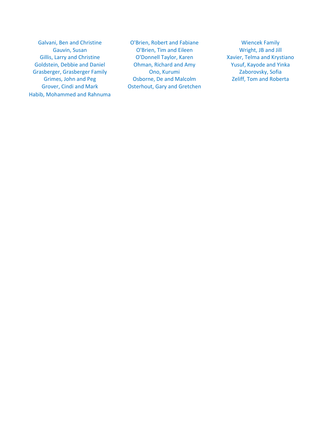Galvani, Ben and Christine **O'Brien, Robert and Fabiane** Wiencek Family Goldstein, Debbie and Daniel **Ohman, Richard and Amy Strates and Yinka** Yusuf, Kayode and Yinka Grasberger, Grasberger Family **Communication** Ono, Kurumi **Camera Caborovsky**, Sofia Habib, Mohammed and Rahnuma

Gauvin, Susan **C'Brien, Tim and Eileen** Wright, JB and Jill Gillis, Larry and Christine **O'Donnell Taylor, Karen** Xavier, Telma and Krystiano Grimes, John and Peg **Calculation** Osborne, De and Malcolm **Zeliff**, Tom and Roberta Grover, Cindi and Mark **Carlo Contact Contact Contact Contact Contact Contact Contact Contact Contact Contact Contact Contact Contact Contact Contact Contact Contact Contact Contact Contact Contact Contact Contact Contact**